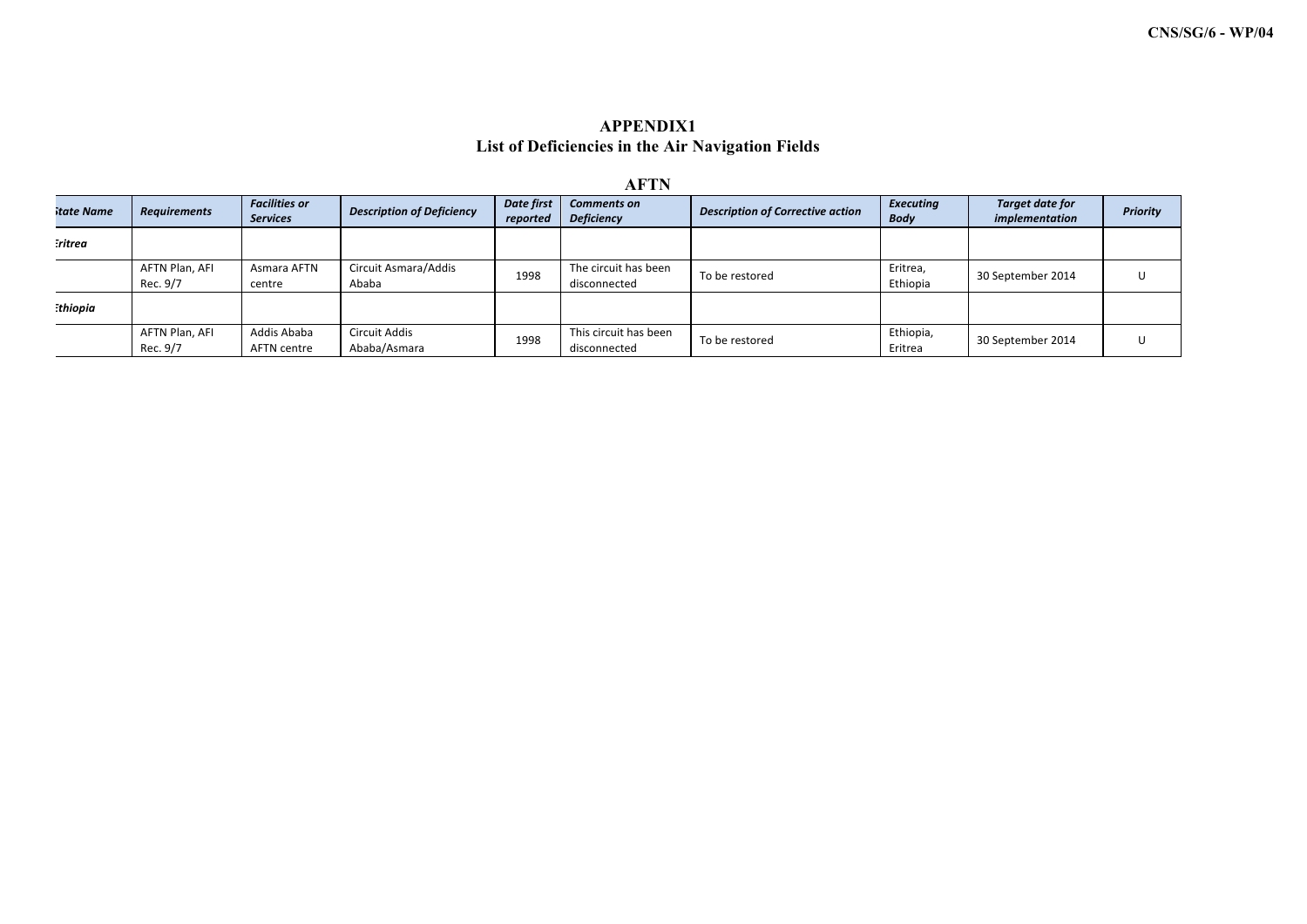## **APPENDIX1 List of Deficiencies in the Air Navigation Fields**

| <b>AFTN</b>    |                            |                                         |                                  |                        |                                         |                                         |                                 |                                          |                 |
|----------------|----------------------------|-----------------------------------------|----------------------------------|------------------------|-----------------------------------------|-----------------------------------------|---------------------------------|------------------------------------------|-----------------|
| itate Name     | <b>Requirements</b>        | <b>Facilities or</b><br><b>Services</b> | <b>Description of Deficiency</b> | Date first<br>reported | <b>Comments on</b><br><b>Deficiency</b> | <b>Description of Corrective action</b> | <b>Executing</b><br><b>Body</b> | <b>Target date for</b><br>implementation | <b>Priority</b> |
| :ritrea        |                            |                                         |                                  |                        |                                         |                                         |                                 |                                          |                 |
|                | AFTN Plan, AFI<br>Rec. 9/7 | Asmara AFTN<br>centre                   | Circuit Asmara/Addis<br>Ababa    | 1998                   | The circuit has been<br>disconnected    | To be restored                          | Eritrea,<br>Ethiopia            | 30 September 2014                        |                 |
| <b>thiopia</b> |                            |                                         |                                  |                        |                                         |                                         |                                 |                                          |                 |
|                | AFTN Plan, AFI<br>Rec. 9/7 | Addis Ababa<br>AFTN centre              | Circuit Addis<br>Ababa/Asmara    | 1998                   | This circuit has been<br>disconnected   | To be restored                          | Ethiopia,<br>Eritrea            | 30 September 2014                        |                 |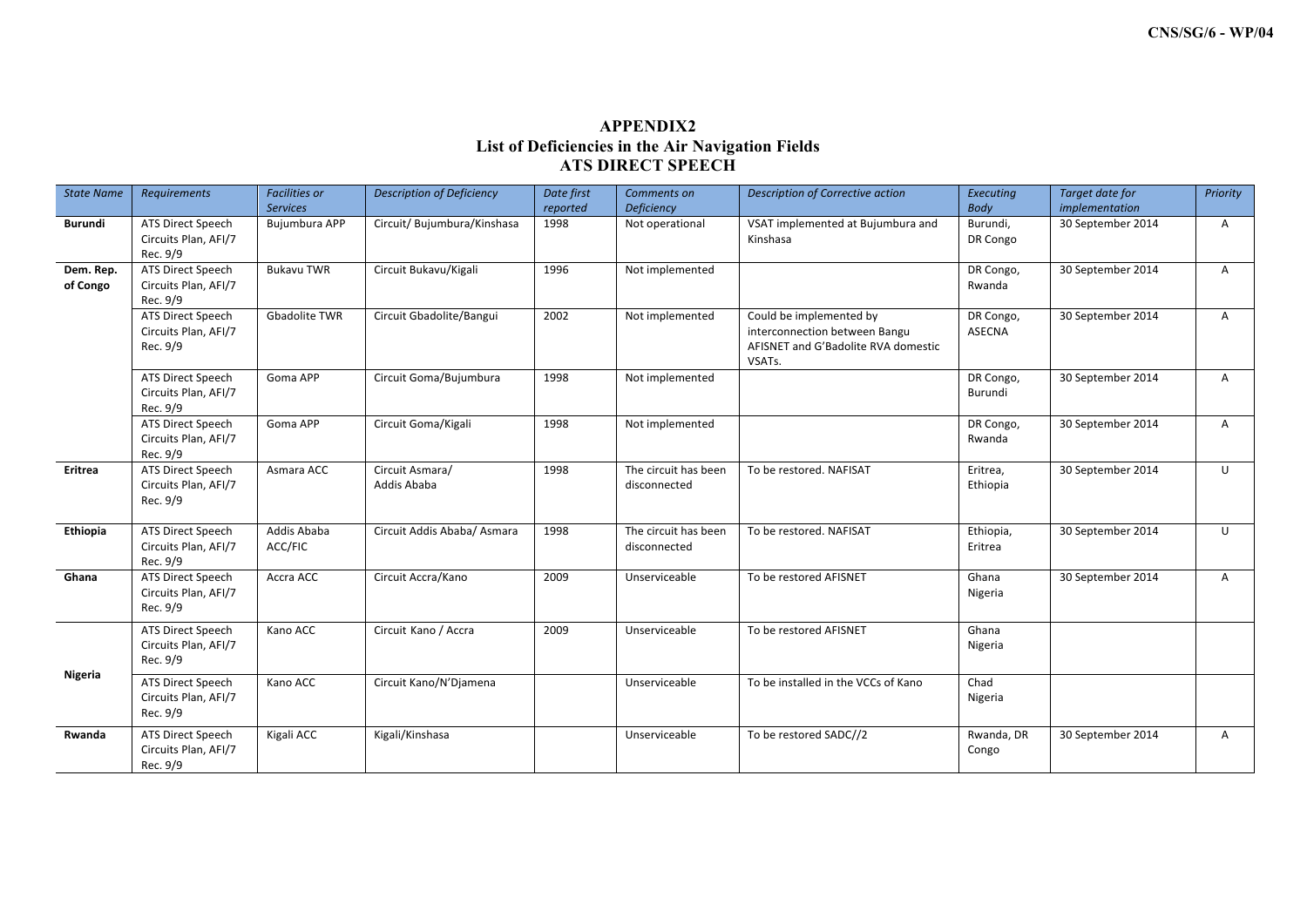## **APPENDIX2 List of Deficiencies in the Air Navigation Fields ATS DIRECT SPEECH**

| <b>State Name</b>     | <b>Requirements</b>                                   | <b>Facilities or</b><br><b>Services</b> | <b>Description of Deficiency</b> | Date first<br>reported | Comments on<br><b>Deficiency</b>     | <b>Description of Corrective action</b>                                                                   | Executing<br>Body          | Target date for<br>implementation | Priority     |
|-----------------------|-------------------------------------------------------|-----------------------------------------|----------------------------------|------------------------|--------------------------------------|-----------------------------------------------------------------------------------------------------------|----------------------------|-----------------------------------|--------------|
| Burundi               | ATS Direct Speech<br>Circuits Plan, AFI/7<br>Rec. 9/9 | Bujumbura APP                           | Circuit/ Bujumbura/Kinshasa      | 1998                   | Not operational                      | VSAT implemented at Bujumbura and<br>Kinshasa                                                             | Burundi,<br>DR Congo       | 30 September 2014                 | $\mathsf{A}$ |
| Dem. Rep.<br>of Congo | ATS Direct Speech<br>Circuits Plan, AFI/7<br>Rec. 9/9 | <b>Bukavu TWR</b>                       | Circuit Bukavu/Kigali            | 1996                   | Not implemented                      |                                                                                                           | DR Congo,<br>Rwanda        | 30 September 2014                 | A            |
|                       | ATS Direct Speech<br>Circuits Plan, AFI/7<br>Rec. 9/9 | <b>Gbadolite TWR</b>                    | Circuit Gbadolite/Bangui         | 2002                   | Not implemented                      | Could be implemented by<br>interconnection between Bangu<br>AFISNET and G'Badolite RVA domestic<br>VSATs. | DR Congo,<br><b>ASECNA</b> | 30 September 2014                 | A            |
|                       | ATS Direct Speech<br>Circuits Plan, AFI/7<br>Rec. 9/9 | Goma APP                                | Circuit Goma/Bujumbura           | 1998                   | Not implemented                      |                                                                                                           | DR Congo,<br>Burundi       | 30 September 2014                 | $\mathsf{A}$ |
|                       | ATS Direct Speech<br>Circuits Plan, AFI/7<br>Rec. 9/9 | Goma APP                                | Circuit Goma/Kigali              | 1998                   | Not implemented                      |                                                                                                           | DR Congo,<br>Rwanda        | 30 September 2014                 | $\mathsf{A}$ |
| Eritrea               | ATS Direct Speech<br>Circuits Plan, AFI/7<br>Rec. 9/9 | Asmara ACC                              | Circuit Asmara/<br>Addis Ababa   | 1998                   | The circuit has been<br>disconnected | To be restored. NAFISAT                                                                                   | Eritrea,<br>Ethiopia       | 30 September 2014                 | U            |
| Ethiopia              | ATS Direct Speech<br>Circuits Plan, AFI/7<br>Rec. 9/9 | Addis Ababa<br>ACC/FIC                  | Circuit Addis Ababa/ Asmara      | 1998                   | The circuit has been<br>disconnected | To be restored. NAFISAT                                                                                   | Ethiopia,<br>Eritrea       | 30 September 2014                 | U            |
| Ghana                 | ATS Direct Speech<br>Circuits Plan, AFI/7<br>Rec. 9/9 | Accra ACC                               | Circuit Accra/Kano               | 2009                   | Unserviceable                        | To be restored AFISNET                                                                                    | Ghana<br>Nigeria           | 30 September 2014                 | $\mathsf{A}$ |
|                       | ATS Direct Speech<br>Circuits Plan, AFI/7<br>Rec. 9/9 | Kano ACC                                | Circuit Kano / Accra             | 2009                   | Unserviceable                        | To be restored AFISNET                                                                                    | Ghana<br>Nigeria           |                                   |              |
| Nigeria               | ATS Direct Speech<br>Circuits Plan, AFI/7<br>Rec. 9/9 | Kano ACC                                | Circuit Kano/N'Djamena           |                        | Unserviceable                        | To be installed in the VCCs of Kano                                                                       | Chad<br>Nigeria            |                                   |              |
| Rwanda                | ATS Direct Speech<br>Circuits Plan, AFI/7<br>Rec. 9/9 | Kigali ACC                              | Kigali/Kinshasa                  |                        | Unserviceable                        | To be restored SADC//2                                                                                    | Rwanda, DR<br>Congo        | 30 September 2014                 | $\mathsf{A}$ |